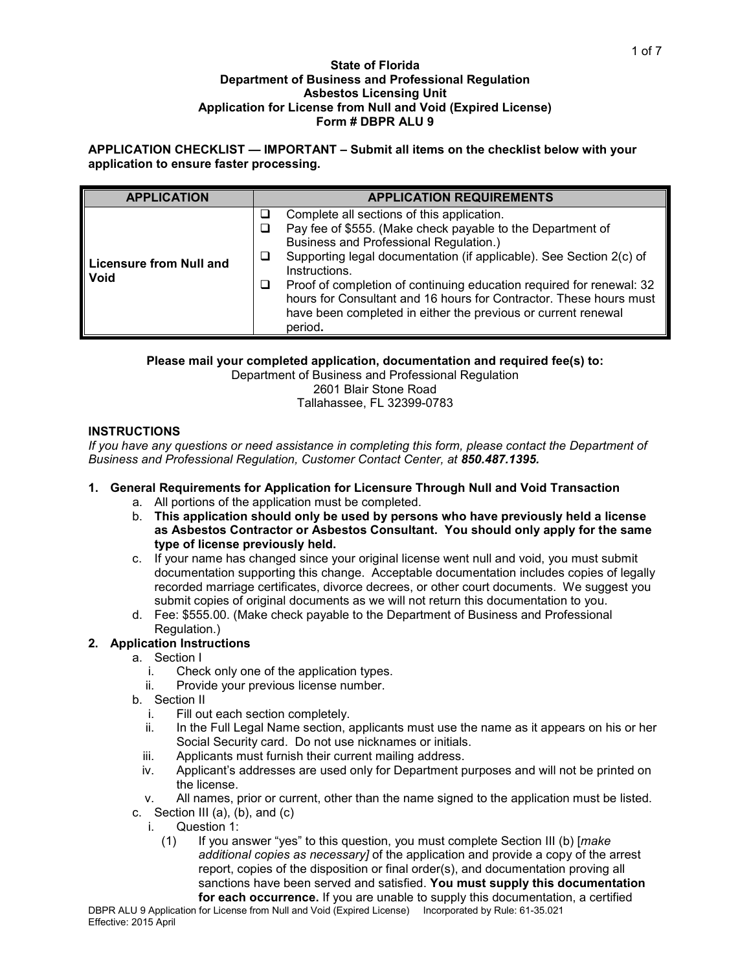#### **State of Florida Department of Business and Professional Regulation Asbestos Licensing Unit Application for License from Null and Void (Expired License) Form # DBPR ALU 9**

**APPLICATION CHECKLIST — IMPORTANT – Submit all items on the checklist below with your application to ensure faster processing.** 

| <b>APPLICATION</b>                     | <b>APPLICATION REQUIREMENTS</b>                                                                                                                                                                                                                                                                                                                                                                                                                                           |
|----------------------------------------|---------------------------------------------------------------------------------------------------------------------------------------------------------------------------------------------------------------------------------------------------------------------------------------------------------------------------------------------------------------------------------------------------------------------------------------------------------------------------|
| <b>Licensure from Null and</b><br>Void | Complete all sections of this application.<br>Pay fee of \$555. (Make check payable to the Department of<br>Business and Professional Regulation.)<br>Supporting legal documentation (if applicable). See Section 2(c) of<br>⊔<br>Instructions.<br>Proof of completion of continuing education required for renewal: 32<br>hours for Consultant and 16 hours for Contractor. These hours must<br>have been completed in either the previous or current renewal<br>period. |

**Please mail your completed application, documentation and required fee(s) to:**

Department of Business and Professional Regulation 2601 Blair Stone Road Tallahassee, FL 32399-0783

## **INSTRUCTIONS**

*If you have any questions or need assistance in completing this form, please contact the Department of Business and Professional Regulation, Customer Contact Center, at 850.487.1395.*

# **1. General Requirements for Application for Licensure Through Null and Void Transaction**

- a. All portions of the application must be completed.
- b. **This application should only be used by persons who have previously held a license as Asbestos Contractor or Asbestos Consultant. You should only apply for the same type of license previously held.**
- c. If your name has changed since your original license went null and void, you must submit documentation supporting this change. Acceptable documentation includes copies of legally recorded marriage certificates, divorce decrees, or other court documents. We suggest you submit copies of original documents as we will not return this documentation to you.
- d. Fee: \$555.00. (Make check payable to the Department of Business and Professional Regulation.)

### **2. Application Instructions**

- a. Section I
	- i. Check only one of the application types.
	- ii. Provide your previous license number.
- b. Section II
	- i. Fill out each section completely.<br>ii. In the Full Legal Name section.
	- In the Full Legal Name section, applicants must use the name as it appears on his or her Social Security card. Do not use nicknames or initials.
	- iii. Applicants must furnish their current mailing address.
	- iv. Applicant's addresses are used only for Department purposes and will not be printed on the license.
	- v. All names, prior or current, other than the name signed to the application must be listed.
- c. Section III (a), (b), and  $(c)$ 
	- i. Question 1:
		- (1) If you answer "yes" to this question, you must complete Section III (b) [*make additional copies as necessary]* of the application and provide a copy of the arrest report, copies of the disposition or final order(s), and documentation proving all sanctions have been served and satisfied. **You must supply this documentation for each occurrence.** If you are unable to supply this documentation, a certified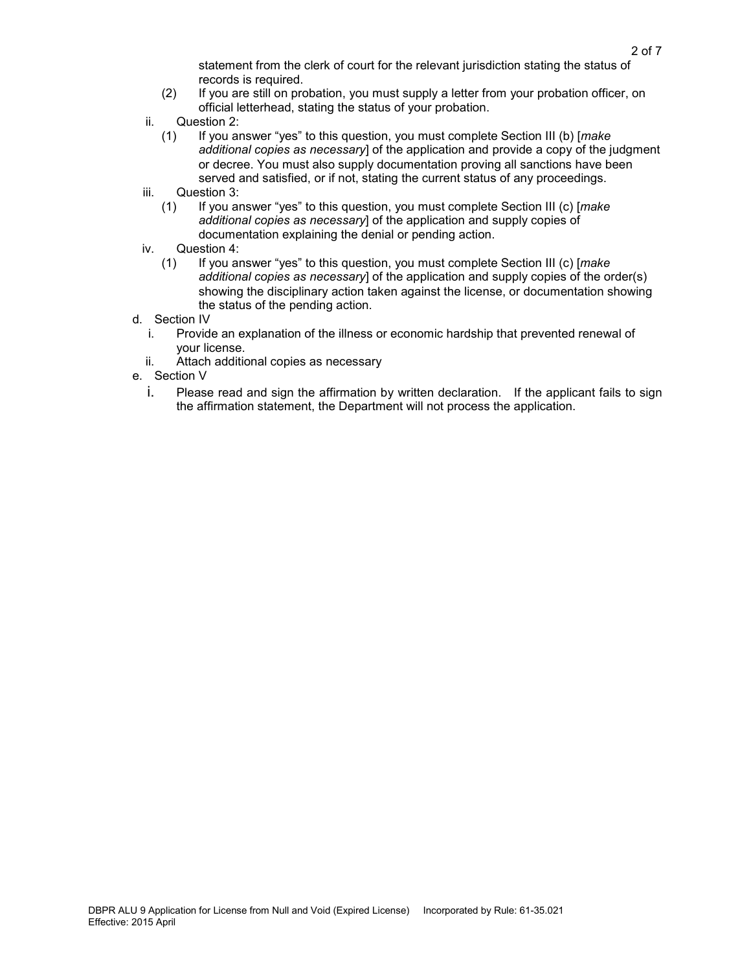statement from the clerk of court for the relevant jurisdiction stating the status of records is required.

- (2) If you are still on probation, you must supply a letter from your probation officer, on official letterhead, stating the status of your probation.
- ii. Question 2:
	- (1) If you answer "yes" to this question, you must complete Section III (b) [*make additional copies as necessary*] of the application and provide a copy of the judgment or decree. You must also supply documentation proving all sanctions have been served and satisfied, or if not, stating the current status of any proceedings.
- iii. Question 3:
	- (1) If you answer "yes" to this question, you must complete Section III (c) [*make additional copies as necessary*] of the application and supply copies of documentation explaining the denial or pending action.
- iv. Question 4:<br>(1) If you are
	- (1) If you answer "yes" to this question, you must complete Section III (c) [*make additional copies as necessary*] of the application and supply copies of the order(s) showing the disciplinary action taken against the license, or documentation showing the status of the pending action.
- d. Section IV
	- i. Provide an explanation of the illness or economic hardship that prevented renewal of your license.
	- ii. Attach additional copies as necessary
- e. Section V
	- i. Please read and sign the affirmation by written declaration. If the applicant fails to sign the affirmation statement, the Department will not process the application.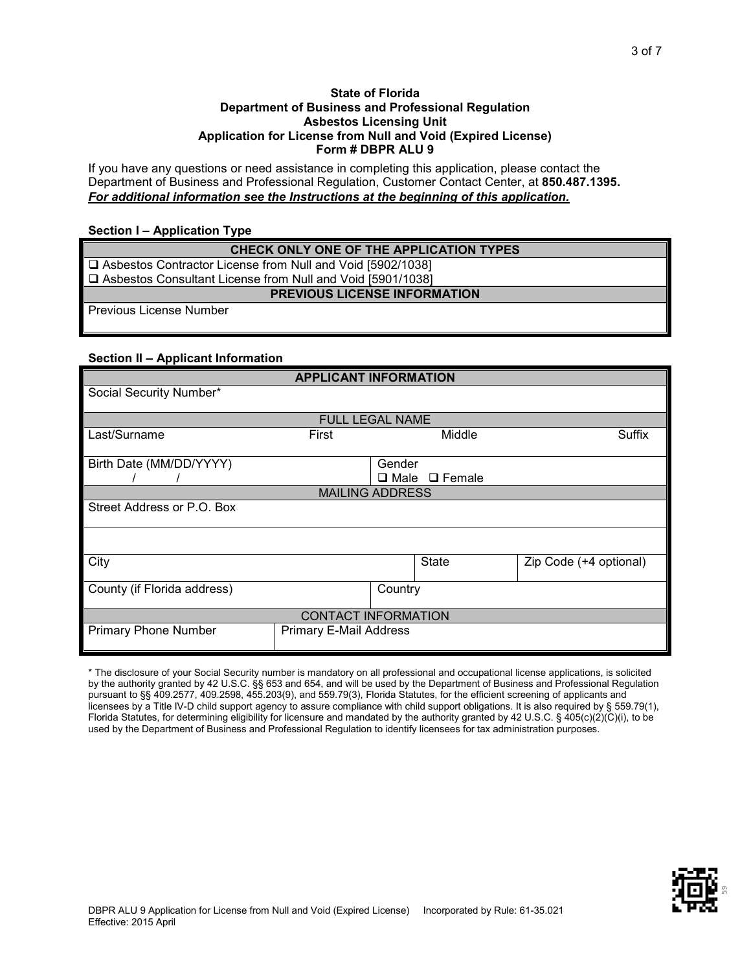#### **State of Florida Department of Business and Professional Regulation Asbestos Licensing Unit Application for License from Null and Void (Expired License) Form # DBPR ALU 9**

If you have any questions or need assistance in completing this application, please contact the Department of Business and Professional Regulation, Customer Contact Center, at **850.487.1395.**  *For additional information see the Instructions at the beginning of this application.*

#### **Section I – Application Type**

| CHECK ONLY ONE OF THE APPLICATION TYPES                      |
|--------------------------------------------------------------|
| □ Asbestos Contractor License from Null and Void [5902/1038] |
| □ Asbestos Consultant License from Null and Void [5901/1038] |
| <b>PREVIOUS LICENSE INFORMATION</b>                          |
| <b>Previous License Number</b>                               |
|                                                              |

# **Section II – Applicant Information**

|                             | <b>APPLICANT INFORMATION</b>  |         |                           |                        |
|-----------------------------|-------------------------------|---------|---------------------------|------------------------|
| Social Security Number*     |                               |         |                           |                        |
|                             | <b>FULL LEGAL NAME</b>        |         |                           |                        |
|                             |                               |         |                           |                        |
| Last/Surname                | First                         |         | Middle                    | Suffix                 |
|                             |                               |         |                           |                        |
| Birth Date (MM/DD/YYYY)     |                               | Gender  |                           |                        |
|                             |                               |         | $\Box$ Male $\Box$ Female |                        |
|                             | <b>MAILING ADDRESS</b>        |         |                           |                        |
| Street Address or P.O. Box  |                               |         |                           |                        |
|                             |                               |         |                           |                        |
|                             |                               |         |                           |                        |
|                             |                               |         |                           |                        |
| City                        |                               |         | <b>State</b>              | Zip Code (+4 optional) |
|                             |                               |         |                           |                        |
| County (if Florida address) |                               | Country |                           |                        |
|                             |                               |         |                           |                        |
|                             | <b>CONTACT INFORMATION</b>    |         |                           |                        |
| <b>Primary Phone Number</b> | <b>Primary E-Mail Address</b> |         |                           |                        |
|                             |                               |         |                           |                        |

\* The disclosure of your Social Security number is mandatory on all professional and occupational license applications, is solicited by the authority granted by 42 U.S.C. §§ 653 and 654, and will be used by the Department of Business and Professional Regulation pursuant to §§ 409.2577, 409.2598, 455.203(9), and 559.79(3), Florida Statutes, for the efficient screening of applicants and licensees by a Title IV-D child support agency to assure compliance with child support obligations. It is also required by § 559.79(1), Florida Statutes, for determining eligibility for licensure and mandated by the authority granted by 42 U.S.C. § 405(c)(2)(C)(i), to be used by the Department of Business and Professional Regulation to identify licensees for tax administration purposes.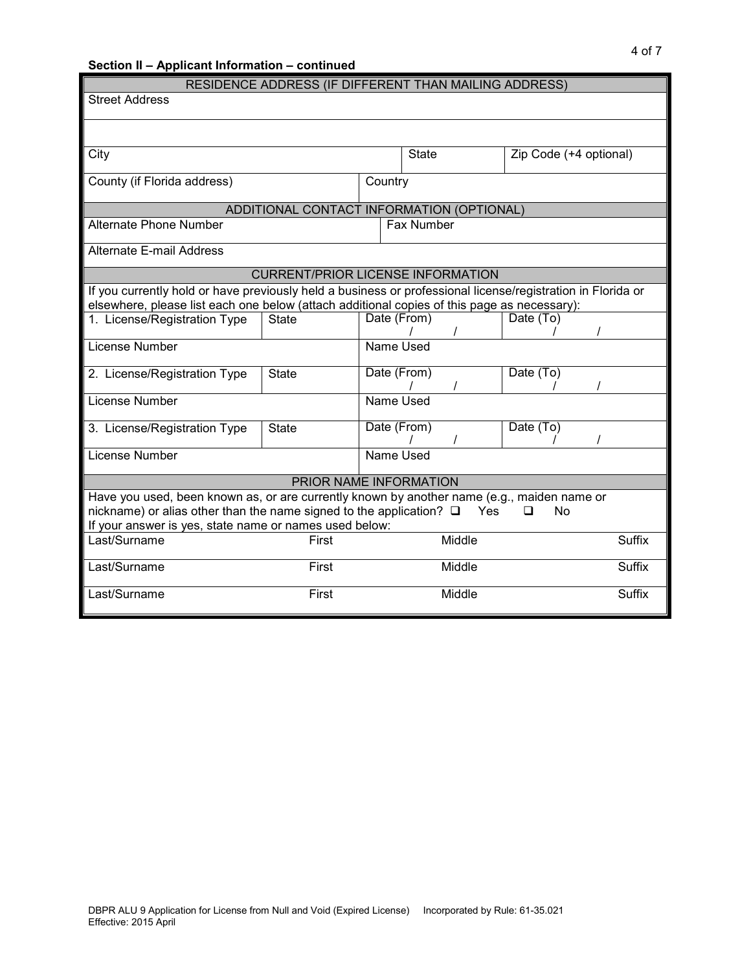| Section II - Applicant Information - continued                                                              |                                                       |             |              |        |                        | 4 of 7        |
|-------------------------------------------------------------------------------------------------------------|-------------------------------------------------------|-------------|--------------|--------|------------------------|---------------|
|                                                                                                             | RESIDENCE ADDRESS (IF DIFFERENT THAN MAILING ADDRESS) |             |              |        |                        |               |
| <b>Street Address</b>                                                                                       |                                                       |             |              |        |                        |               |
|                                                                                                             |                                                       |             |              |        |                        |               |
|                                                                                                             |                                                       |             |              |        |                        |               |
| City                                                                                                        |                                                       |             | <b>State</b> |        | Zip Code (+4 optional) |               |
| County (if Florida address)                                                                                 |                                                       | Country     |              |        |                        |               |
|                                                                                                             |                                                       |             |              |        |                        |               |
|                                                                                                             | ADDITIONAL CONTACT INFORMATION (OPTIONAL)             |             |              |        |                        |               |
| <b>Alternate Phone Number</b>                                                                               |                                                       |             | Fax Number   |        |                        |               |
| <b>Alternate E-mail Address</b>                                                                             |                                                       |             |              |        |                        |               |
|                                                                                                             | <b>CURRENT/PRIOR LICENSE INFORMATION</b>              |             |              |        |                        |               |
| If you currently hold or have previously held a business or professional license/registration in Florida or |                                                       |             |              |        |                        |               |
| elsewhere, please list each one below (attach additional copies of this page as necessary):                 |                                                       |             |              |        |                        |               |
| 1. License/Registration Type                                                                                | <b>State</b>                                          | Date (From) |              |        | $\overline{Date}$ (To) |               |
| License Number                                                                                              |                                                       | Name Used   |              |        |                        |               |
| 2. License/Registration Type                                                                                | <b>State</b>                                          | Date (From) |              |        | Date (To)              |               |
| License Number                                                                                              |                                                       | Name Used   |              |        |                        |               |
|                                                                                                             |                                                       |             |              |        |                        |               |
| 3. License/Registration Type                                                                                | <b>State</b>                                          | Date (From) |              |        | Date (To)              |               |
| License Number                                                                                              |                                                       | Name Used   |              |        |                        |               |
|                                                                                                             |                                                       |             |              |        |                        |               |
|                                                                                                             | PRIOR NAME INFORMATION                                |             |              |        |                        |               |
| Have you used, been known as, or are currently known by another name (e.g., maiden name or                  |                                                       |             |              |        |                        |               |
| nickname) or alias other than the name signed to the application? $\square$                                 |                                                       |             |              | Yes    | <b>No</b><br>◻         |               |
| If your answer is yes, state name or names used below:                                                      |                                                       |             |              |        |                        |               |
| Last/Surname                                                                                                | First                                                 |             |              | Middle |                        | <b>Suffix</b> |
| Last/Surname                                                                                                | First                                                 |             |              | Middle |                        | <b>Suffix</b> |
| Last/Surname                                                                                                | First                                                 |             |              | Middle |                        | <b>Suffix</b> |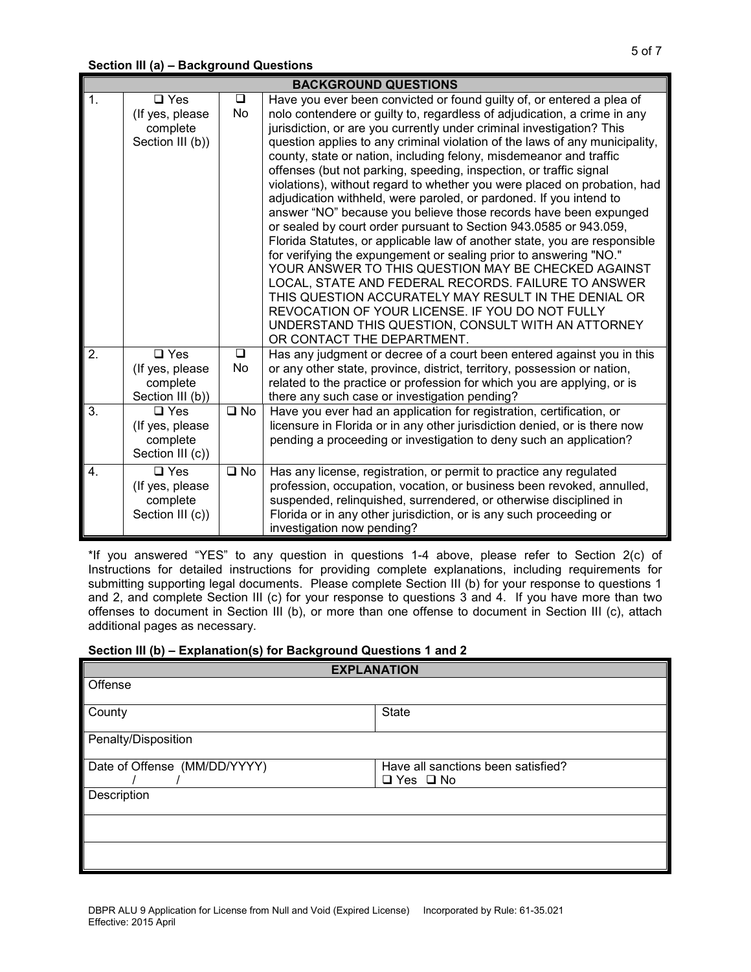|                                      |                                                                                                                                         |                              | <b>BACKGROUND QUESTIONS</b>                                                                                                                                                                                                                                                                                                                                                                                                                                                                                                                                                                                                                                                                                                                                                                                                                                                                                                                                                                                                                                                                                                                                                                                     |
|--------------------------------------|-----------------------------------------------------------------------------------------------------------------------------------------|------------------------------|-----------------------------------------------------------------------------------------------------------------------------------------------------------------------------------------------------------------------------------------------------------------------------------------------------------------------------------------------------------------------------------------------------------------------------------------------------------------------------------------------------------------------------------------------------------------------------------------------------------------------------------------------------------------------------------------------------------------------------------------------------------------------------------------------------------------------------------------------------------------------------------------------------------------------------------------------------------------------------------------------------------------------------------------------------------------------------------------------------------------------------------------------------------------------------------------------------------------|
| 1.                                   | $\square$ Yes<br>(If yes, please<br>complete<br>Section III (b))                                                                        | $\Box$<br>No                 | Have you ever been convicted or found guilty of, or entered a plea of<br>nolo contendere or guilty to, regardless of adjudication, a crime in any<br>jurisdiction, or are you currently under criminal investigation? This<br>question applies to any criminal violation of the laws of any municipality,<br>county, state or nation, including felony, misdemeanor and traffic<br>offenses (but not parking, speeding, inspection, or traffic signal<br>violations), without regard to whether you were placed on probation, had<br>adjudication withheld, were paroled, or pardoned. If you intend to<br>answer "NO" because you believe those records have been expunged<br>or sealed by court order pursuant to Section 943.0585 or 943.059,<br>Florida Statutes, or applicable law of another state, you are responsible<br>for verifying the expungement or sealing prior to answering "NO."<br>YOUR ANSWER TO THIS QUESTION MAY BE CHECKED AGAINST<br>LOCAL, STATE AND FEDERAL RECORDS. FAILURE TO ANSWER<br>THIS QUESTION ACCURATELY MAY RESULT IN THE DENIAL OR<br>REVOCATION OF YOUR LICENSE. IF YOU DO NOT FULLY<br>UNDERSTAND THIS QUESTION, CONSULT WITH AN ATTORNEY<br>OR CONTACT THE DEPARTMENT. |
| $\overline{2}$ .<br>$\overline{3}$ . | $\overline{a}$ Yes<br>(If yes, please<br>complete<br>Section III (b))<br>$\Box$ Yes<br>(If yes, please)<br>complete<br>Section III (c)) | $\Box$<br>No<br>$\square$ No | Has any judgment or decree of a court been entered against you in this<br>or any other state, province, district, territory, possession or nation,<br>related to the practice or profession for which you are applying, or is<br>there any such case or investigation pending?<br>Have you ever had an application for registration, certification, or<br>licensure in Florida or in any other jurisdiction denied, or is there now<br>pending a proceeding or investigation to deny such an application?                                                                                                                                                                                                                                                                                                                                                                                                                                                                                                                                                                                                                                                                                                       |
| $\overline{4}$ .                     | $\square$ Yes<br>(If yes, please)<br>complete<br>Section III (c))                                                                       | $\square$ No                 | Has any license, registration, or permit to practice any regulated<br>profession, occupation, vocation, or business been revoked, annulled,<br>suspended, relinquished, surrendered, or otherwise disciplined in<br>Florida or in any other jurisdiction, or is any such proceeding or<br>investigation now pending?                                                                                                                                                                                                                                                                                                                                                                                                                                                                                                                                                                                                                                                                                                                                                                                                                                                                                            |

\*If you answered "YES" to any question in questions 1-4 above, please refer to Section 2(c) of Instructions for detailed instructions for providing complete explanations, including requirements for submitting supporting legal documents. Please complete Section III (b) for your response to questions 1 and 2, and complete Section III (c) for your response to questions 3 and 4. If you have more than two offenses to document in Section III (b), or more than one offense to document in Section III (c), attach additional pages as necessary.

### **Section III (b) – Explanation(s) for Background Questions 1 and 2**

| <b>EXPLANATION</b>           |                                    |  |  |  |
|------------------------------|------------------------------------|--|--|--|
| Offense                      |                                    |  |  |  |
| County                       | <b>State</b>                       |  |  |  |
| Penalty/Disposition          |                                    |  |  |  |
| Date of Offense (MM/DD/YYYY) | Have all sanctions been satisfied? |  |  |  |
|                              | $\Box$ Yes $\Box$ No               |  |  |  |
| Description                  |                                    |  |  |  |
|                              |                                    |  |  |  |
|                              |                                    |  |  |  |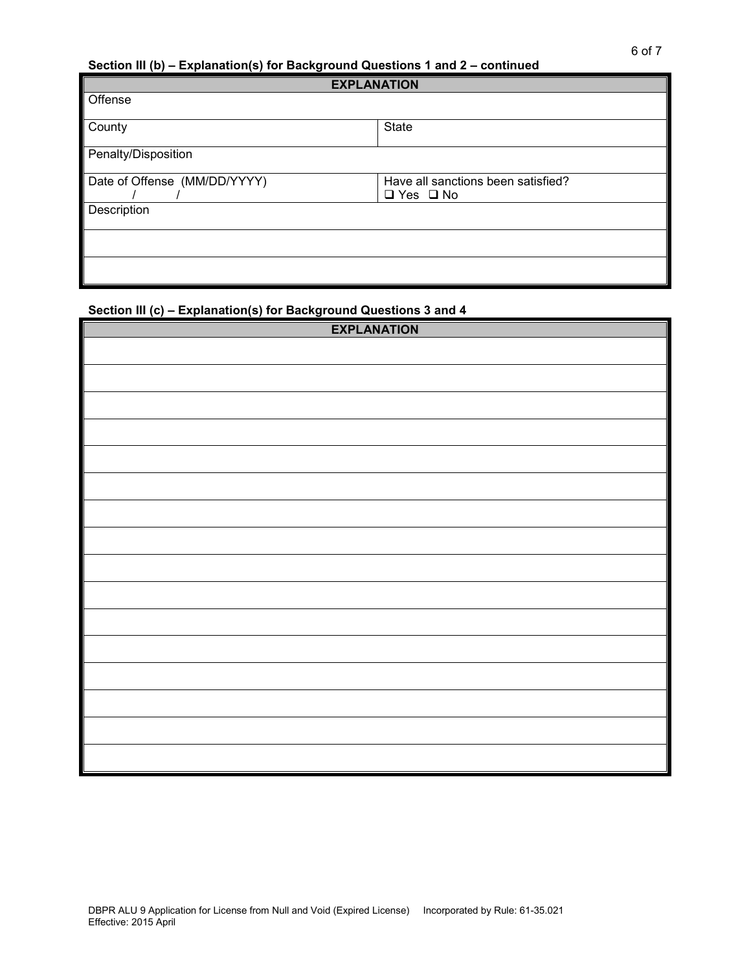### **Section III (b) – Explanation(s) for Background Questions 1 and 2 – continued**

| <b>EXPLANATION</b>           |                                                            |
|------------------------------|------------------------------------------------------------|
| Offense                      |                                                            |
| County                       | <b>State</b>                                               |
| Penalty/Disposition          |                                                            |
| Date of Offense (MM/DD/YYYY) | Have all sanctions been satisfied?<br>$\Box$ Yes $\Box$ No |
| Description                  |                                                            |
|                              |                                                            |
|                              |                                                            |

# **Section III (c) – Explanation(s) for Background Questions 3 and 4**

| <b>EXPLANATION</b> |  |
|--------------------|--|
|                    |  |
|                    |  |
|                    |  |
|                    |  |
|                    |  |
|                    |  |
|                    |  |
|                    |  |
|                    |  |
|                    |  |
|                    |  |
|                    |  |
|                    |  |
|                    |  |
|                    |  |
|                    |  |